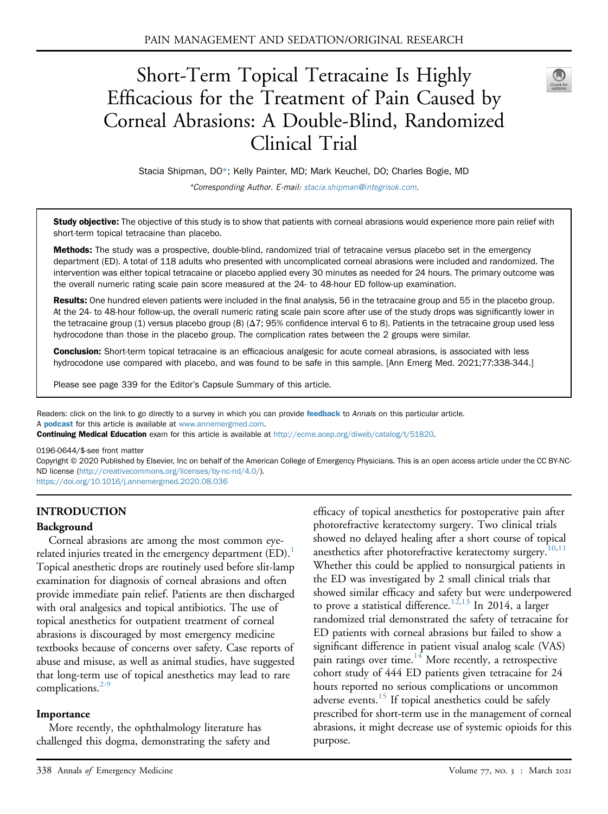# Short-Term Topical Tetracaine Is Highly Efficacious for the Treatment of Pain Caused by Corneal Abrasions: A Double-Blind, Randomized Clinical Trial



Stacia Shipman, DO\*; Kelly Painter, MD; Mark Keuchel, DO; Charles Bogie, MD

\*Corresponding Author. E-mail: [stacia.shipman@integrisok.com.](mailto:stacia.shipman@integrisok.com)

Study objective: The objective of this study is to show that patients with corneal abrasions would experience more pain relief with short-term topical tetracaine than placebo.

Methods: The study was a prospective, double-blind, randomized trial of tetracaine versus placebo set in the emergency department (ED). A total of 118 adults who presented with uncomplicated corneal abrasions were included and randomized. The intervention was either topical tetracaine or placebo applied every 30 minutes as needed for 24 hours. The primary outcome was the overall numeric rating scale pain score measured at the 24- to 48-hour ED follow-up examination.

Results: One hundred eleven patients were included in the final analysis, 56 in the tetracaine group and 55 in the placebo group. At the 24- to 48-hour follow-up, the overall numeric rating scale pain score after use of the study drops was significantly lower in the tetracaine group (1) versus placebo group (8) ( $\Delta$ 7; 95% confidence interval 6 to 8). Patients in the tetracaine group used less hydrocodone than those in the placebo group. The complication rates between the 2 groups were similar.

**Conclusion:** Short-term topical tetracaine is an efficacious analgesic for acute corneal abrasions, is associated with less hydrocodone use compared with placebo, and was found to be safe in this sample. [Ann Emerg Med. 2021;77:338-344.]

Please see page 339 for the Editor's Capsule Summary of this article.

Readers: click on the link to go directly to a survey in which you can provide [feedback](https://www.surveymonkey.com/r/8RMFHTJ) to Annals on this particular article. A **[podcast](http://annemergmed.com/content/podcast)** for this article is available at [www.annemergmed.com](http://www.annemergmed.com).

Continuing Medical Education exam for this article is available at <http://ecme.acep.org/diweb/catalog/t/51820>.

0196-0644/\$-see front matter

Copyright © 2020 Published by Elsevier, Inc on behalf of the American College of Emergency Physicians. This is an open access article under the CC BY-NC-ND license [\(http://creativecommons.org/licenses/by-nc-nd/4.0/](http://creativecommons.org/licenses/by-nc-nd/4.0/)). <https://doi.org/10.1016/j.annemergmed.2020.08.036>

#### INTRODUCTION

#### Background

Corneal abrasions are among the most common eyerelated injuries treated in the emergency department  $(ED)$ . Topical anesthetic drops are routinely used before slit-lamp examination for diagnosis of corneal abrasions and often provide immediate pain relief. Patients are then discharged with oral analgesics and topical antibiotics. The use of topical anesthetics for outpatient treatment of corneal abrasions is discouraged by most emergency medicine textbooks because of concerns over safety. Case reports of abuse and misuse, as well as animal studies, have suggested that long-term use of topical anesthetics may lead to rare complications. $2-9$ 

#### Importance

More recently, the ophthalmology literature has challenged this dogma, demonstrating the safety and

efficacy of topical anesthetics for postoperative pain after photorefractive keratectomy surgery. Two clinical trials showed no delayed healing after a short course of topical anesthetics after photorefractive keratectomy surgery.<sup>[10,](#page-6-2)[11](#page-6-3)</sup> Whether this could be applied to nonsurgical patients in the ED was investigated by 2 small clinical trials that showed similar efficacy and safety but were underpowered to prove a statistical difference.<sup>[12](#page-6-4)[,13](#page-6-5)</sup> In 2014, a larger randomized trial demonstrated the safety of tetracaine for ED patients with corneal abrasions but failed to show a significant difference in patient visual analog scale (VAS) pain ratings over time.<sup>[14](#page-6-6)</sup> More recently, a retrospective cohort study of 444 ED patients given tetracaine for 24 hours reported no serious complications or uncommon adverse events. $15$  If topical anesthetics could be safely prescribed for short-term use in the management of corneal abrasions, it might decrease use of systemic opioids for this purpose.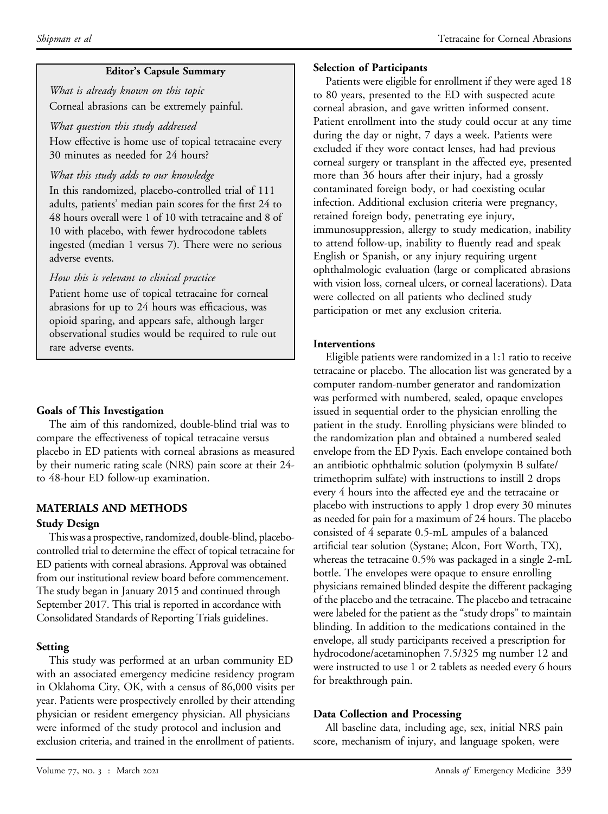#### Editor's Capsule Summary

What is already known on this topic Corneal abrasions can be extremely painful.

#### What question this study addressed

How effective is home use of topical tetracaine every 30 minutes as needed for 24 hours?

### What this study adds to our knowledge

In this randomized, placebo-controlled trial of 111 adults, patients' median pain scores for the first 24 to 48 hours overall were 1 of 10 with tetracaine and 8 of 10 with placebo, with fewer hydrocodone tablets ingested (median 1 versus 7). There were no serious adverse events.

### How this is relevant to clinical practice

Patient home use of topical tetracaine for corneal abrasions for up to 24 hours was efficacious, was opioid sparing, and appears safe, although larger observational studies would be required to rule out rare adverse events.

### Goals of This Investigation

The aim of this randomized, double-blind trial was to compare the effectiveness of topical tetracaine versus placebo in ED patients with corneal abrasions as measured by their numeric rating scale (NRS) pain score at their 24 to 48-hour ED follow-up examination.

# MATERIALS AND METHODS

### Study Design

This was a prospective, randomized, double-blind, placebocontrolled trial to determine the effect of topical tetracaine for ED patients with corneal abrasions. Approval was obtained from our institutional review board before commencement. The study began in January 2015 and continued through September 2017. This trial is reported in accordance with Consolidated Standards of Reporting Trials guidelines.

### Setting

This study was performed at an urban community ED with an associated emergency medicine residency program in Oklahoma City, OK, with a census of 86,000 visits per year. Patients were prospectively enrolled by their attending physician or resident emergency physician. All physicians were informed of the study protocol and inclusion and exclusion criteria, and trained in the enrollment of patients.

#### Selection of Participants

Patients were eligible for enrollment if they were aged 18 to 80 years, presented to the ED with suspected acute corneal abrasion, and gave written informed consent. Patient enrollment into the study could occur at any time during the day or night, 7 days a week. Patients were excluded if they wore contact lenses, had had previous corneal surgery or transplant in the affected eye, presented more than 36 hours after their injury, had a grossly contaminated foreign body, or had coexisting ocular infection. Additional exclusion criteria were pregnancy, retained foreign body, penetrating eye injury, immunosuppression, allergy to study medication, inability to attend follow-up, inability to fluently read and speak English or Spanish, or any injury requiring urgent ophthalmologic evaluation (large or complicated abrasions with vision loss, corneal ulcers, or corneal lacerations). Data were collected on all patients who declined study participation or met any exclusion criteria.

#### Interventions

Eligible patients were randomized in a 1:1 ratio to receive tetracaine or placebo. The allocation list was generated by a computer random-number generator and randomization was performed with numbered, sealed, opaque envelopes issued in sequential order to the physician enrolling the patient in the study. Enrolling physicians were blinded to the randomization plan and obtained a numbered sealed envelope from the ED Pyxis. Each envelope contained both an antibiotic ophthalmic solution (polymyxin B sulfate/ trimethoprim sulfate) with instructions to instill 2 drops every 4 hours into the affected eye and the tetracaine or placebo with instructions to apply 1 drop every 30 minutes as needed for pain for a maximum of 24 hours. The placebo consisted of 4 separate 0.5-mL ampules of a balanced artificial tear solution (Systane; Alcon, Fort Worth, TX), whereas the tetracaine 0.5% was packaged in a single 2-mL bottle. The envelopes were opaque to ensure enrolling physicians remained blinded despite the different packaging of the placebo and the tetracaine. The placebo and tetracaine were labeled for the patient as the "study drops" to maintain blinding. In addition to the medications contained in the envelope, all study participants received a prescription for hydrocodone/acetaminophen 7.5/325 mg number 12 and were instructed to use 1 or 2 tablets as needed every 6 hours for breakthrough pain.

### Data Collection and Processing

All baseline data, including age, sex, initial NRS pain score, mechanism of injury, and language spoken, were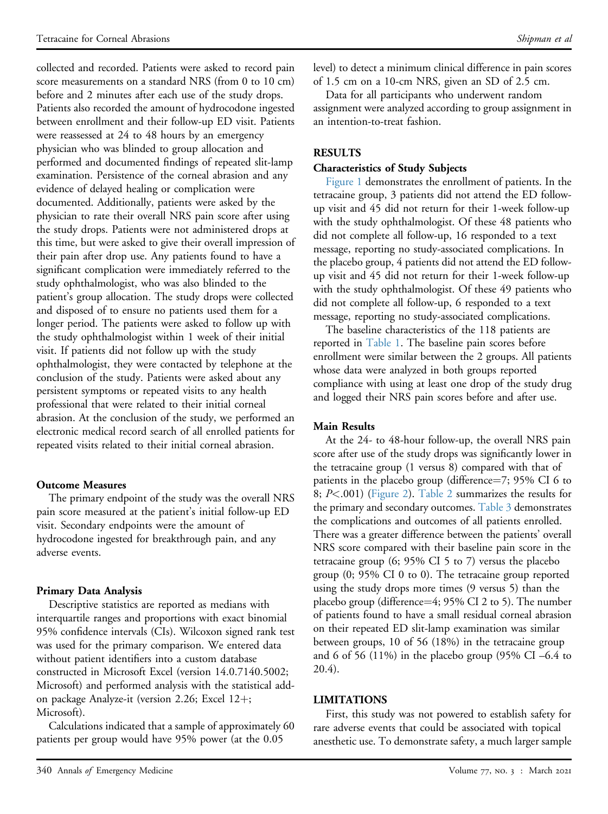collected and recorded. Patients were asked to record pain score measurements on a standard NRS (from 0 to 10 cm) before and 2 minutes after each use of the study drops. Patients also recorded the amount of hydrocodone ingested between enrollment and their follow-up ED visit. Patients were reassessed at 24 to 48 hours by an emergency physician who was blinded to group allocation and performed and documented findings of repeated slit-lamp examination. Persistence of the corneal abrasion and any evidence of delayed healing or complication were documented. Additionally, patients were asked by the physician to rate their overall NRS pain score after using the study drops. Patients were not administered drops at this time, but were asked to give their overall impression of their pain after drop use. Any patients found to have a significant complication were immediately referred to the study ophthalmologist, who was also blinded to the patient's group allocation. The study drops were collected and disposed of to ensure no patients used them for a longer period. The patients were asked to follow up with the study ophthalmologist within 1 week of their initial visit. If patients did not follow up with the study ophthalmologist, they were contacted by telephone at the conclusion of the study. Patients were asked about any persistent symptoms or repeated visits to any health professional that were related to their initial corneal abrasion. At the conclusion of the study, we performed an electronic medical record search of all enrolled patients for repeated visits related to their initial corneal abrasion.

### Outcome Measures

The primary endpoint of the study was the overall NRS pain score measured at the patient's initial follow-up ED visit. Secondary endpoints were the amount of hydrocodone ingested for breakthrough pain, and any adverse events.

## Primary Data Analysis

Descriptive statistics are reported as medians with interquartile ranges and proportions with exact binomial 95% confidence intervals (CIs). Wilcoxon signed rank test was used for the primary comparison. We entered data without patient identifiers into a custom database constructed in Microsoft Excel (version 14.0.7140.5002; Microsoft) and performed analysis with the statistical addon package Analyze-it (version 2.26; Excel  $12 +$ ; Microsoft).

Calculations indicated that a sample of approximately 60 patients per group would have 95% power (at the 0.05

level) to detect a minimum clinical difference in pain scores of 1.5 cm on a 10-cm NRS, given an SD of 2.5 cm.

Data for all participants who underwent random assignment were analyzed according to group assignment in an intention-to-treat fashion.

# RESULTS

### Characteristics of Study Subjects

[Figure 1](#page-3-0) demonstrates the enrollment of patients. In the tetracaine group, 3 patients did not attend the ED followup visit and 45 did not return for their 1-week follow-up with the study ophthalmologist. Of these 48 patients who did not complete all follow-up, 16 responded to a text message, reporting no study-associated complications. In the placebo group, 4 patients did not attend the ED followup visit and 45 did not return for their 1-week follow-up with the study ophthalmologist. Of these 49 patients who did not complete all follow-up, 6 responded to a text message, reporting no study-associated complications.

The baseline characteristics of the 118 patients are reported in [Table 1](#page-3-1). The baseline pain scores before enrollment were similar between the 2 groups. All patients whose data were analyzed in both groups reported compliance with using at least one drop of the study drug and logged their NRS pain scores before and after use.

### Main Results

At the 24- to 48-hour follow-up, the overall NRS pain score after use of the study drops was significantly lower in the tetracaine group (1 versus 8) compared with that of patients in the placebo group (difference $=$ 7; 95% CI 6 to 8;  $P<.001$ ) [\(Figure 2\)](#page-4-0). [Table 2](#page-4-1) summarizes the results for the primary and secondary outcomes. [Table 3](#page-5-0) demonstrates the complications and outcomes of all patients enrolled. There was a greater difference between the patients' overall NRS score compared with their baseline pain score in the tetracaine group (6; 95% CI 5 to 7) versus the placebo group (0; 95% CI 0 to 0). The tetracaine group reported using the study drops more times (9 versus 5) than the placebo group (difference $=4$ ; 95% CI 2 to 5). The number of patients found to have a small residual corneal abrasion on their repeated ED slit-lamp examination was similar between groups, 10 of 56 (18%) in the tetracaine group and 6 of 56 (11%) in the placebo group (95% CI $-6.4$  to 20.4).

### LIMITATIONS

First, this study was not powered to establish safety for rare adverse events that could be associated with topical anesthetic use. To demonstrate safety, a much larger sample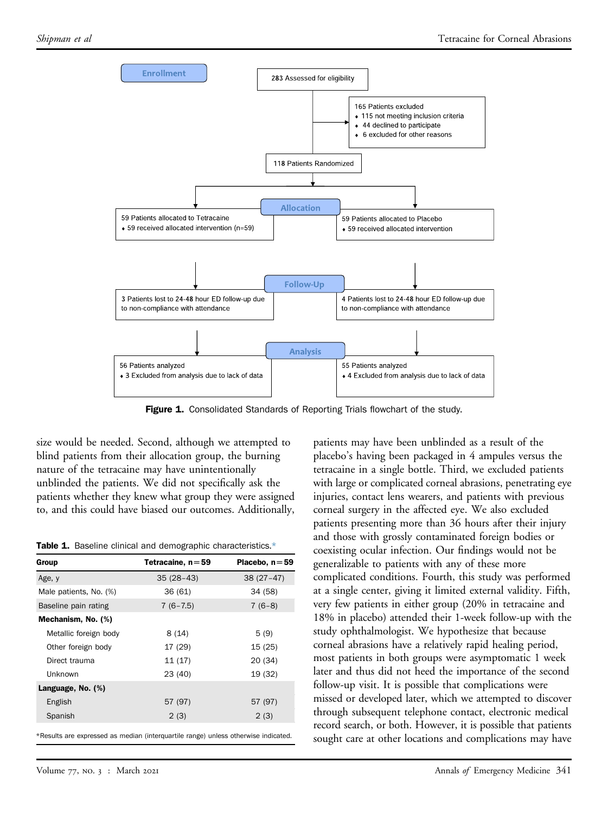<span id="page-3-0"></span>

Figure 1. Consolidated Standards of Reporting Trials flowchart of the study.

size would be needed. Second, although we attempted to blind patients from their allocation group, the burning nature of the tetracaine may have unintentionally unblinded the patients. We did not specifically ask the patients whether they knew what group they were assigned to, and this could have biased our outcomes. Additionally,

<span id="page-3-1"></span>

| Table 1. Baseline clinical and demographic characteristics.* |  |
|--------------------------------------------------------------|--|
|--------------------------------------------------------------|--|

| Group                  | Tetracaine, $n = 59$ | Placebo, $n = 59$ |
|------------------------|----------------------|-------------------|
| Age, y                 | $35(28-43)$          | $38(27-47)$       |
| Male patients, No. (%) | 36 (61)              | 34 (58)           |
| Baseline pain rating   | $7(6 - 7.5)$         | $7(6-8)$          |
| Mechanism, No. (%)     |                      |                   |
| Metallic foreign body  | 8(14)                | 5(9)              |
| Other foreign body     | 17 (29)              | 15(25)            |
| Direct trauma          | 11(17)               | 20 (34)           |
| Unknown                | 23 (40)              | 19 (32)           |
| Language, No. (%)      |                      |                   |
| English                | 57 (97)              | 57 (97)           |
| Spanish                | 2(3)                 | 2(3)              |
|                        |                      |                   |

<span id="page-3-2"></span>\*Results are expressed as median (interquartile range) unless otherwise indicated.

patients may have been unblinded as a result of the placebo's having been packaged in 4 ampules versus the tetracaine in a single bottle. Third, we excluded patients with large or complicated corneal abrasions, penetrating eye injuries, contact lens wearers, and patients with previous corneal surgery in the affected eye. We also excluded patients presenting more than 36 hours after their injury and those with grossly contaminated foreign bodies or coexisting ocular infection. Our findings would not be generalizable to patients with any of these more complicated conditions. Fourth, this study was performed at a single center, giving it limited external validity. Fifth, very few patients in either group (20% in tetracaine and 18% in placebo) attended their 1-week follow-up with the study ophthalmologist. We hypothesize that because corneal abrasions have a relatively rapid healing period, most patients in both groups were asymptomatic 1 week later and thus did not heed the importance of the second follow-up visit. It is possible that complications were missed or developed later, which we attempted to discover through subsequent telephone contact, electronic medical record search, or both. However, it is possible that patients sought care at other locations and complications may have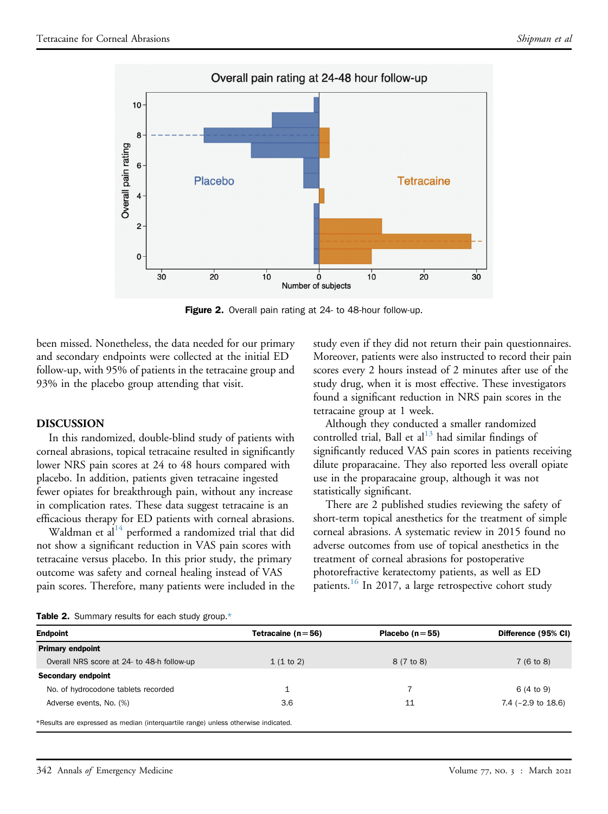<span id="page-4-0"></span>

Figure 2. Overall pain rating at 24- to 48-hour follow-up.

been missed. Nonetheless, the data needed for our primary and secondary endpoints were collected at the initial ED follow-up, with 95% of patients in the tetracaine group and 93% in the placebo group attending that visit.

### DISCUSSION

In this randomized, double-blind study of patients with corneal abrasions, topical tetracaine resulted in significantly lower NRS pain scores at 24 to 48 hours compared with placebo. In addition, patients given tetracaine ingested fewer opiates for breakthrough pain, without any increase in complication rates. These data suggest tetracaine is an efficacious therapy for ED patients with corneal abrasions.

Waldman et al $14$  performed a randomized trial that did not show a significant reduction in VAS pain scores with tetracaine versus placebo. In this prior study, the primary outcome was safety and corneal healing instead of VAS pain scores. Therefore, many patients were included in the study even if they did not return their pain questionnaires. Moreover, patients were also instructed to record their pain scores every 2 hours instead of 2 minutes after use of the study drug, when it is most effective. These investigators found a significant reduction in NRS pain scores in the tetracaine group at 1 week.

Although they conducted a smaller randomized controlled trial, Ball et al<sup>[13](#page-6-5)</sup> had similar findings of significantly reduced VAS pain scores in patients receiving dilute proparacaine. They also reported less overall opiate use in the proparacaine group, although it was not statistically significant.

There are 2 published studies reviewing the safety of short-term topical anesthetics for the treatment of simple corneal abrasions. A systematic review in 2015 found no adverse outcomes from use of topical anesthetics in the treatment of corneal abrasions for postoperative photorefractive keratectomy patients, as well as ED patients.<sup>[16](#page-6-8)</sup> In 2017, a large retrospective cohort study

<span id="page-4-1"></span>

|  | Table 2. Summary results for each study group * |  |  |  |  |  |
|--|-------------------------------------------------|--|--|--|--|--|
|--|-------------------------------------------------|--|--|--|--|--|

<span id="page-4-2"></span>

| <b>Endpoint</b>                                                                    | Tetracaine (n=56) | Placebo ( $n = 55$ ) | Difference (95% CI)           |
|------------------------------------------------------------------------------------|-------------------|----------------------|-------------------------------|
| <b>Primary endpoint</b>                                                            |                   |                      |                               |
| Overall NRS score at 24- to 48-h follow-up                                         | 1(1 to 2)         | 8 (7 to 8)           | 7(6 to 8)                     |
| <b>Secondary endpoint</b>                                                          |                   |                      |                               |
| No. of hydrocodone tablets recorded                                                |                   |                      | 6 (4 to 9)                    |
| Adverse events, No. (%)                                                            | 3.6               | 11                   | 7.4 $(-2.9 \text{ to } 18.6)$ |
| *Results are expressed as median (interquartile range) unless otherwise indicated. |                   |                      |                               |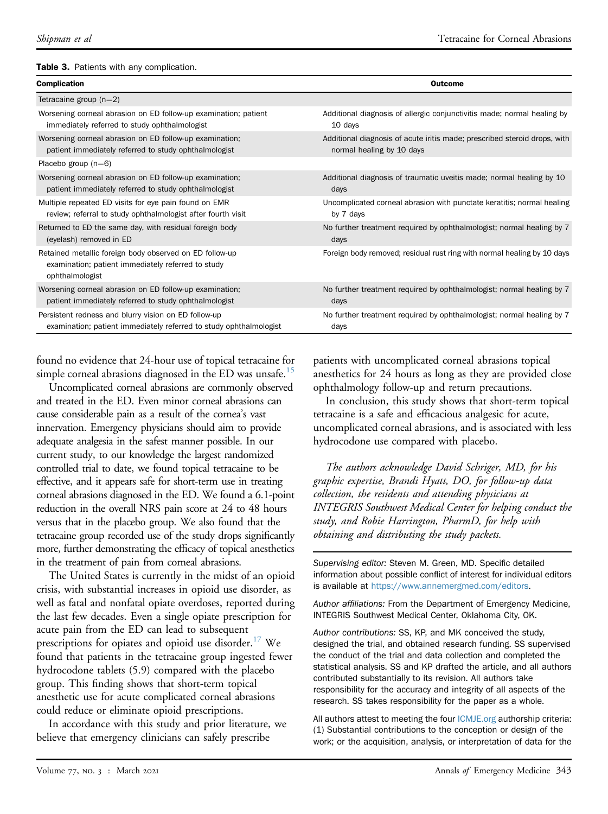#### <span id="page-5-0"></span>Table 3. Patients with any complication.

| <b>Complication</b>                                                                                                              | <b>Outcome</b>                                                            |
|----------------------------------------------------------------------------------------------------------------------------------|---------------------------------------------------------------------------|
| Tetracaine group $(n=2)$                                                                                                         |                                                                           |
| Worsening corneal abrasion on ED follow-up examination; patient                                                                  | Additional diagnosis of allergic conjunctivitis made; normal healing by   |
| immediately referred to study ophthalmologist                                                                                    | 10 days                                                                   |
| Worsening corneal abrasion on ED follow-up examination;                                                                          | Additional diagnosis of acute iritis made; prescribed steroid drops, with |
| patient immediately referred to study ophthalmologist                                                                            | normal healing by 10 days                                                 |
| Placebo group $(n=6)$                                                                                                            |                                                                           |
| Worsening corneal abrasion on ED follow-up examination;                                                                          | Additional diagnosis of traumatic uveitis made; normal healing by 10      |
| patient immediately referred to study ophthalmologist                                                                            | days                                                                      |
| Multiple repeated ED visits for eye pain found on EMR                                                                            | Uncomplicated corneal abrasion with punctate keratitis; normal healing    |
| review; referral to study ophthalmologist after fourth visit                                                                     | by 7 days                                                                 |
| Returned to ED the same day, with residual foreign body                                                                          | No further treatment required by ophthalmologist; normal healing by 7     |
| (eyelash) removed in ED                                                                                                          | days                                                                      |
| Retained metallic foreign body observed on ED follow-up<br>examination; patient immediately referred to study<br>ophthalmologist | Foreign body removed; residual rust ring with normal healing by 10 days   |
| Worsening corneal abrasion on ED follow-up examination;                                                                          | No further treatment required by ophthalmologist; normal healing by 7     |
| patient immediately referred to study ophthalmologist                                                                            | days                                                                      |
| Persistent redness and blurry vision on ED follow-up                                                                             | No further treatment required by ophthalmologist; normal healing by 7     |
| examination; patient immediately referred to study ophthalmologist                                                               | days                                                                      |

found no evidence that 24-hour use of topical tetracaine for simple corneal abrasions diagnosed in the ED was unsafe.<sup>[15](#page-6-7)</sup>

Uncomplicated corneal abrasions are commonly observed and treated in the ED. Even minor corneal abrasions can cause considerable pain as a result of the cornea's vast innervation. Emergency physicians should aim to provide adequate analgesia in the safest manner possible. In our current study, to our knowledge the largest randomized controlled trial to date, we found topical tetracaine to be effective, and it appears safe for short-term use in treating corneal abrasions diagnosed in the ED. We found a 6.1-point reduction in the overall NRS pain score at 24 to 48 hours versus that in the placebo group. We also found that the tetracaine group recorded use of the study drops significantly more, further demonstrating the efficacy of topical anesthetics in the treatment of pain from corneal abrasions.

The United States is currently in the midst of an opioid crisis, with substantial increases in opioid use disorder, as well as fatal and nonfatal opiate overdoses, reported during the last few decades. Even a single opiate prescription for acute pain from the ED can lead to subsequent prescriptions for opiates and opioid use disorder.<sup>17</sup> We found that patients in the tetracaine group ingested fewer hydrocodone tablets (5.9) compared with the placebo group. This finding shows that short-term topical anesthetic use for acute complicated corneal abrasions could reduce or eliminate opioid prescriptions.

In accordance with this study and prior literature, we believe that emergency clinicians can safely prescribe

patients with uncomplicated corneal abrasions topical anesthetics for 24 hours as long as they are provided close ophthalmology follow-up and return precautions.

In conclusion, this study shows that short-term topical tetracaine is a safe and efficacious analgesic for acute, uncomplicated corneal abrasions, and is associated with less hydrocodone use compared with placebo.

The authors acknowledge David Schriger, MD, for his graphic expertise, Brandi Hyatt, DO, for follow-up data collection, the residents and attending physicians at INTEGRIS Southwest Medical Center for helping conduct the study, and Robie Harrington, PharmD, for help with obtaining and distributing the study packets.

Supervising editor: Steven M. Green, MD. Specific detailed information about possible conflict of interest for individual editors is available at [https://www.annemergmed.com/editors.](https://www.annemergmed.com/editors)

Author affiliations: From the Department of Emergency Medicine, INTEGRIS Southwest Medical Center, Oklahoma City, OK.

Author contributions: SS, KP, and MK conceived the study, designed the trial, and obtained research funding. SS supervised the conduct of the trial and data collection and completed the statistical analysis. SS and KP drafted the article, and all authors contributed substantially to its revision. All authors take responsibility for the accuracy and integrity of all aspects of the research. SS takes responsibility for the paper as a whole.

All authors attest to meeting the four [ICMJE.org](http://ICMJE.org) authorship criteria: (1) Substantial contributions to the conception or design of the work; or the acquisition, analysis, or interpretation of data for the